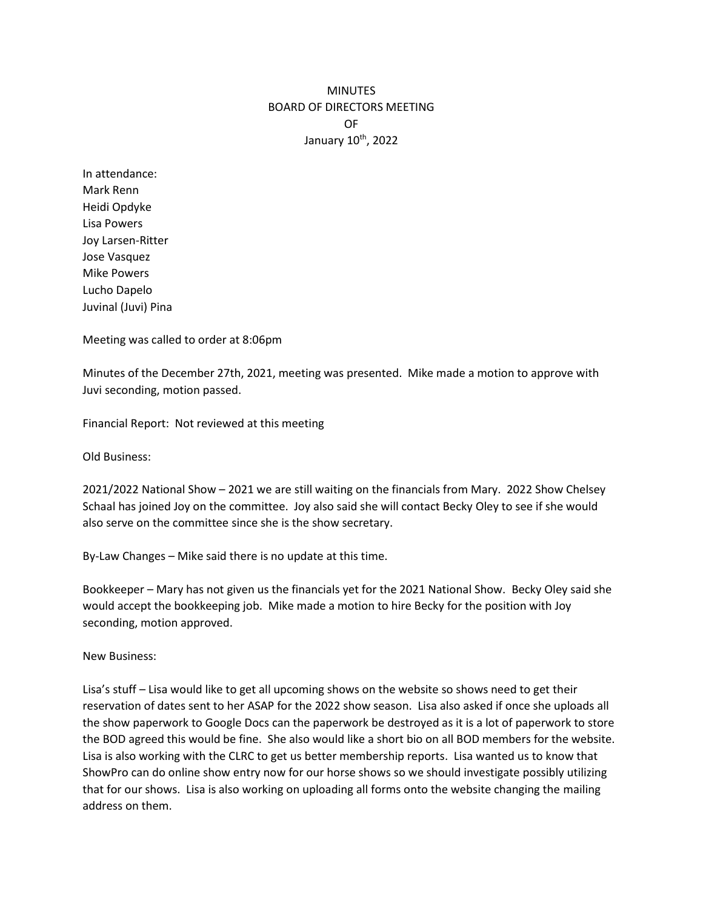## **MINUTES** BOARD OF DIRECTORS MEETING OF January 10<sup>th</sup>, 2022

In attendance: Mark Renn Heidi Opdyke Lisa Powers Joy Larsen-Ritter Jose Vasquez Mike Powers Lucho Dapelo Juvinal (Juvi) Pina

Meeting was called to order at 8:06pm

Minutes of the December 27th, 2021, meeting was presented. Mike made a motion to approve with Juvi seconding, motion passed.

Financial Report: Not reviewed at this meeting

Old Business:

2021/2022 National Show – 2021 we are still waiting on the financials from Mary. 2022 Show Chelsey Schaal has joined Joy on the committee. Joy also said she will contact Becky Oley to see if she would also serve on the committee since she is the show secretary.

By-Law Changes – Mike said there is no update at this time.

Bookkeeper – Mary has not given us the financials yet for the 2021 National Show. Becky Oley said she would accept the bookkeeping job. Mike made a motion to hire Becky for the position with Joy seconding, motion approved.

New Business:

Lisa's stuff – Lisa would like to get all upcoming shows on the website so shows need to get their reservation of dates sent to her ASAP for the 2022 show season. Lisa also asked if once she uploads all the show paperwork to Google Docs can the paperwork be destroyed as it is a lot of paperwork to store the BOD agreed this would be fine. She also would like a short bio on all BOD members for the website. Lisa is also working with the CLRC to get us better membership reports. Lisa wanted us to know that ShowPro can do online show entry now for our horse shows so we should investigate possibly utilizing that for our shows. Lisa is also working on uploading all forms onto the website changing the mailing address on them.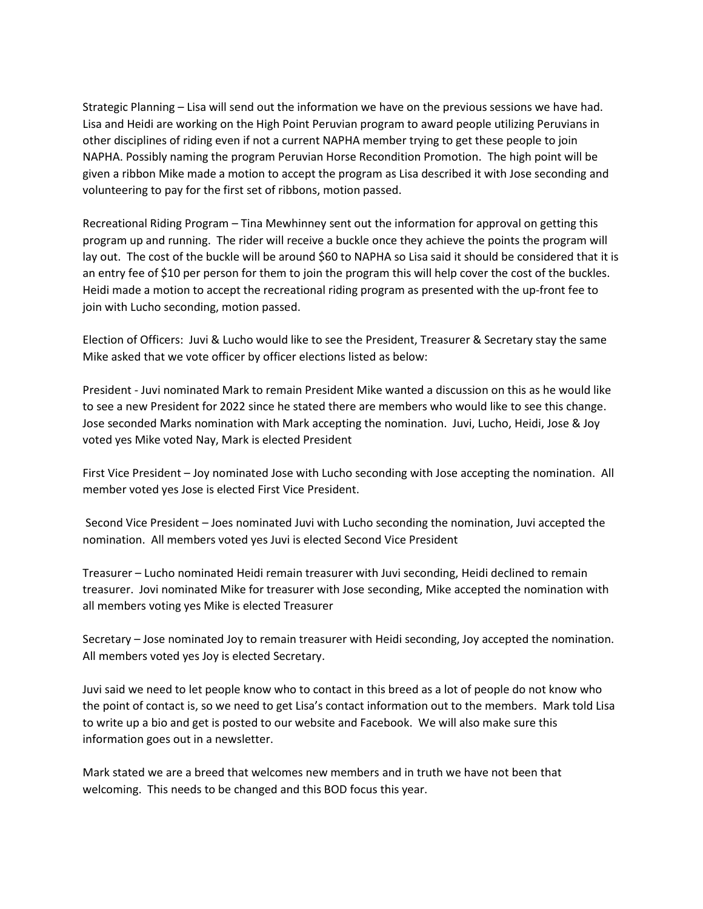Strategic Planning – Lisa will send out the information we have on the previous sessions we have had. Lisa and Heidi are working on the High Point Peruvian program to award people utilizing Peruvians in other disciplines of riding even if not a current NAPHA member trying to get these people to join NAPHA. Possibly naming the program Peruvian Horse Recondition Promotion. The high point will be given a ribbon Mike made a motion to accept the program as Lisa described it with Jose seconding and volunteering to pay for the first set of ribbons, motion passed.

Recreational Riding Program – Tina Mewhinney sent out the information for approval on getting this program up and running. The rider will receive a buckle once they achieve the points the program will lay out. The cost of the buckle will be around \$60 to NAPHA so Lisa said it should be considered that it is an entry fee of \$10 per person for them to join the program this will help cover the cost of the buckles. Heidi made a motion to accept the recreational riding program as presented with the up-front fee to join with Lucho seconding, motion passed.

Election of Officers: Juvi & Lucho would like to see the President, Treasurer & Secretary stay the same Mike asked that we vote officer by officer elections listed as below:

President - Juvi nominated Mark to remain President Mike wanted a discussion on this as he would like to see a new President for 2022 since he stated there are members who would like to see this change. Jose seconded Marks nomination with Mark accepting the nomination. Juvi, Lucho, Heidi, Jose & Joy voted yes Mike voted Nay, Mark is elected President

First Vice President – Joy nominated Jose with Lucho seconding with Jose accepting the nomination. All member voted yes Jose is elected First Vice President.

Second Vice President – Joes nominated Juvi with Lucho seconding the nomination, Juvi accepted the nomination. All members voted yes Juvi is elected Second Vice President

Treasurer – Lucho nominated Heidi remain treasurer with Juvi seconding, Heidi declined to remain treasurer. Jovi nominated Mike for treasurer with Jose seconding, Mike accepted the nomination with all members voting yes Mike is elected Treasurer

Secretary – Jose nominated Joy to remain treasurer with Heidi seconding, Joy accepted the nomination. All members voted yes Joy is elected Secretary.

Juvi said we need to let people know who to contact in this breed as a lot of people do not know who the point of contact is, so we need to get Lisa's contact information out to the members. Mark told Lisa to write up a bio and get is posted to our website and Facebook. We will also make sure this information goes out in a newsletter.

Mark stated we are a breed that welcomes new members and in truth we have not been that welcoming. This needs to be changed and this BOD focus this year.